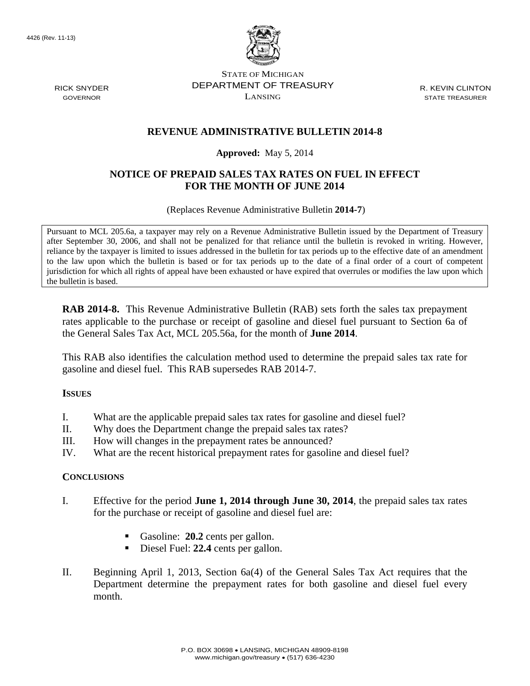

STATE OF MICHIGAN DEPARTMENT OF TREASURY LANSING

R. KEVIN CLINTON STATE TREASURER

# **REVENUE ADMINISTRATIVE BULLETIN 2014-8**

### **Approved:** May 5, 2014

# **NOTICE OF PREPAID SALES TAX RATES ON FUEL IN EFFECT FOR THE MONTH OF JUNE 2014**

(Replaces Revenue Administrative Bulletin **2014-7**)

Pursuant to MCL 205.6a, a taxpayer may rely on a Revenue Administrative Bulletin issued by the Department of Treasury after September 30, 2006, and shall not be penalized for that reliance until the bulletin is revoked in writing. However, reliance by the taxpayer is limited to issues addressed in the bulletin for tax periods up to the effective date of an amendment to the law upon which the bulletin is based or for tax periods up to the date of a final order of a court of competent jurisdiction for which all rights of appeal have been exhausted or have expired that overrules or modifies the law upon which the bulletin is based.

**RAB 2014-8.** This Revenue Administrative Bulletin (RAB) sets forth the sales tax prepayment rates applicable to the purchase or receipt of gasoline and diesel fuel pursuant to Section 6a of the General Sales Tax Act, MCL 205.56a, for the month of **June 2014**.

This RAB also identifies the calculation method used to determine the prepaid sales tax rate for gasoline and diesel fuel. This RAB supersedes RAB 2014-7.

### **ISSUES**

- I. What are the applicable prepaid sales tax rates for gasoline and diesel fuel?
- II. Why does the Department change the prepaid sales tax rates?
- III. How will changes in the prepayment rates be announced?
- IV. What are the recent historical prepayment rates for gasoline and diesel fuel?

### **CONCLUSIONS**

- I. Effective for the period **June 1, 2014 through June 30, 2014**, the prepaid sales tax rates for the purchase or receipt of gasoline and diesel fuel are:
	- Gasoline: **20.2** cents per gallon.
	- Diesel Fuel: 22.4 cents per gallon.
- II. Beginning April 1, 2013, Section 6a(4) of the General Sales Tax Act requires that the Department determine the prepayment rates for both gasoline and diesel fuel every month.

RICK SNYDER GOVERNOR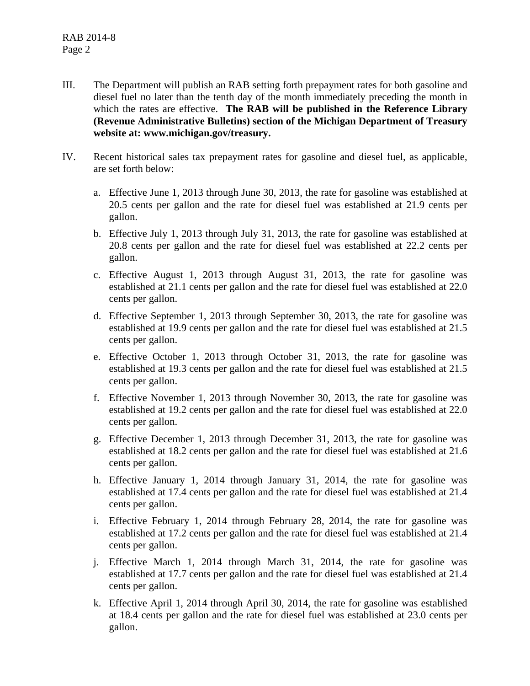- III. The Department will publish an RAB setting forth prepayment rates for both gasoline and diesel fuel no later than the tenth day of the month immediately preceding the month in which the rates are effective. **The RAB will be published in the Reference Library (Revenue Administrative Bulletins) section of the Michigan Department of Treasury website at: www.michigan.gov/treasury.**
- IV. Recent historical sales tax prepayment rates for gasoline and diesel fuel, as applicable, are set forth below:
	- a. Effective June 1, 2013 through June 30, 2013, the rate for gasoline was established at 20.5 cents per gallon and the rate for diesel fuel was established at 21.9 cents per gallon.
	- b. Effective July 1, 2013 through July 31, 2013, the rate for gasoline was established at 20.8 cents per gallon and the rate for diesel fuel was established at 22.2 cents per gallon.
	- c. Effective August 1, 2013 through August 31, 2013, the rate for gasoline was established at 21.1 cents per gallon and the rate for diesel fuel was established at 22.0 cents per gallon.
	- d. Effective September 1, 2013 through September 30, 2013, the rate for gasoline was established at 19.9 cents per gallon and the rate for diesel fuel was established at 21.5 cents per gallon.
	- e. Effective October 1, 2013 through October 31, 2013, the rate for gasoline was established at 19.3 cents per gallon and the rate for diesel fuel was established at 21.5 cents per gallon.
	- f. Effective November 1, 2013 through November 30, 2013, the rate for gasoline was established at 19.2 cents per gallon and the rate for diesel fuel was established at 22.0 cents per gallon.
	- g. Effective December 1, 2013 through December 31, 2013, the rate for gasoline was established at 18.2 cents per gallon and the rate for diesel fuel was established at 21.6 cents per gallon.
	- h. Effective January 1, 2014 through January 31, 2014, the rate for gasoline was established at 17.4 cents per gallon and the rate for diesel fuel was established at 21.4 cents per gallon.
	- i. Effective February 1, 2014 through February 28, 2014, the rate for gasoline was established at 17.2 cents per gallon and the rate for diesel fuel was established at 21.4 cents per gallon.
	- j. Effective March 1, 2014 through March 31, 2014, the rate for gasoline was established at 17.7 cents per gallon and the rate for diesel fuel was established at 21.4 cents per gallon.
	- k. Effective April 1, 2014 through April 30, 2014, the rate for gasoline was established at 18.4 cents per gallon and the rate for diesel fuel was established at 23.0 cents per gallon.